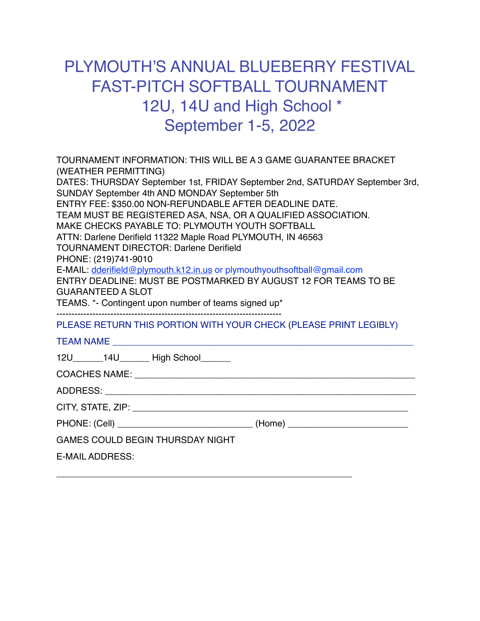## PLYMOUTH'S ANNUAL BLUEBERRY FESTIVAL FAST-PITCH SOFTBALL TOURNAMENT 12U, 14U and High School \* September 1-5, 2022

| TOURNAMENT INFORMATION: THIS WILL BE A 3 GAME GUARANTEE BRACKET<br>(WEATHER PERMITTING) |                                                                                                                                                                                                                                                                                                                                                                                                                                                                                                                                                                                                                                     |
|-----------------------------------------------------------------------------------------|-------------------------------------------------------------------------------------------------------------------------------------------------------------------------------------------------------------------------------------------------------------------------------------------------------------------------------------------------------------------------------------------------------------------------------------------------------------------------------------------------------------------------------------------------------------------------------------------------------------------------------------|
| PHONE: (219)741-9010<br><b>GUARANTEED A SLOT</b>                                        | DATES: THURSDAY September 1st, FRIDAY September 2nd, SATURDAY September 3rd,<br>SUNDAY September 4th AND MONDAY September 5th<br>ENTRY FEE: \$350.00 NON-REFUNDABLE AFTER DEADLINE DATE.<br>TEAM MUST BE REGISTERED ASA, NSA, OR A QUALIFIED ASSOCIATION.<br>MAKE CHECKS PAYABLE TO: PLYMOUTH YOUTH SOFTBALL<br>ATTN: Darlene Derifield 11322 Maple Road PLYMOUTH, IN 46563<br><b>TOURNAMENT DIRECTOR: Darlene Derifield</b><br>E-MAIL: dderifield@plymouth.k12.in.us or plymouthyouthsoftball@gmail.com<br>ENTRY DEADLINE: MUST BE POSTMARKED BY AUGUST 12 FOR TEAMS TO BE<br>TEAMS. *- Contingent upon number of teams signed up* |
|                                                                                         | PLEASE RETURN THIS PORTION WITH YOUR CHECK (PLEASE PRINT LEGIBLY)                                                                                                                                                                                                                                                                                                                                                                                                                                                                                                                                                                   |
|                                                                                         |                                                                                                                                                                                                                                                                                                                                                                                                                                                                                                                                                                                                                                     |
|                                                                                         | 12U______14U______High School______                                                                                                                                                                                                                                                                                                                                                                                                                                                                                                                                                                                                 |
|                                                                                         |                                                                                                                                                                                                                                                                                                                                                                                                                                                                                                                                                                                                                                     |
|                                                                                         |                                                                                                                                                                                                                                                                                                                                                                                                                                                                                                                                                                                                                                     |
|                                                                                         |                                                                                                                                                                                                                                                                                                                                                                                                                                                                                                                                                                                                                                     |
|                                                                                         | PHONE: (Cell) ________________________________(Home) ___________________________                                                                                                                                                                                                                                                                                                                                                                                                                                                                                                                                                    |
| GAMES COULD BEGIN THURSDAY NIGHT                                                        |                                                                                                                                                                                                                                                                                                                                                                                                                                                                                                                                                                                                                                     |
| <b>E-MAIL ADDRESS:</b>                                                                  |                                                                                                                                                                                                                                                                                                                                                                                                                                                                                                                                                                                                                                     |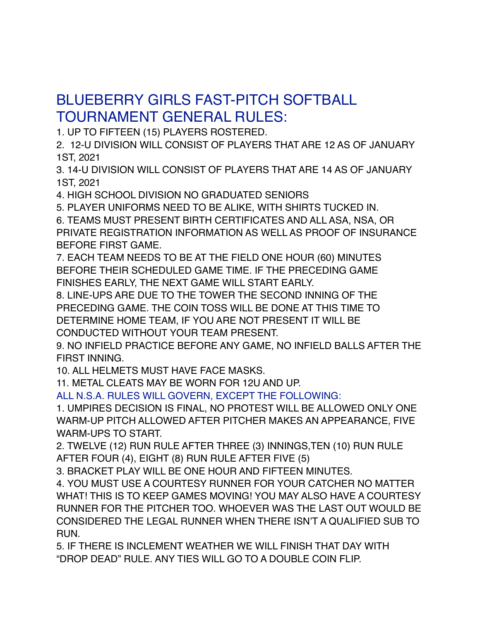## BLUEBERRY GIRLS FAST-PITCH SOFTBALL TOURNAMENT GENERAL RULES:

1. UP TO FIFTEEN (15) PLAYERS ROSTERED.

2. 12-U DIVISION WILL CONSIST OF PLAYERS THAT ARE 12 AS OF JANUARY 1ST, 2021

3. 14-U DIVISION WILL CONSIST OF PLAYERS THAT ARE 14 AS OF JANUARY 1ST, 2021

4. HIGH SCHOOL DIVISION NO GRADUATED SENIORS

5. PLAYER UNIFORMS NEED TO BE ALIKE, WITH SHIRTS TUCKED IN.

6. TEAMS MUST PRESENT BIRTH CERTIFICATES AND ALL ASA, NSA, OR PRIVATE REGISTRATION INFORMATION AS WELL AS PROOF OF INSURANCE BEFORE FIRST GAME.

7. EACH TEAM NEEDS TO BE AT THE FIELD ONE HOUR (60) MINUTES BEFORE THEIR SCHEDULED GAME TIME. IF THE PRECEDING GAME FINISHES EARLY, THE NEXT GAME WILL START EARLY.

8. LINE-UPS ARE DUE TO THE TOWER THE SECOND INNING OF THE PRECEDING GAME. THE COIN TOSS WILL BE DONE AT THIS TIME TO DETERMINE HOME TEAM, IF YOU ARE NOT PRESENT IT WILL BE CONDUCTED WITHOUT YOUR TEAM PRESENT.

9. NO INFIELD PRACTICE BEFORE ANY GAME, NO INFIELD BALLS AFTER THE FIRST INNING.

10. ALL HELMETS MUST HAVE FACE MASKS.

11. METAL CLEATS MAY BE WORN FOR 12U AND UP.

ALL N.S.A. RULES WILL GOVERN, EXCEPT THE FOLLOWING:

1. UMPIRES DECISION IS FINAL, NO PROTEST WILL BE ALLOWED ONLY ONE WARM-UP PITCH ALLOWED AFTER PITCHER MAKES AN APPEARANCE, FIVE WARM-UPS TO START.

2. TWELVE (12) RUN RULE AFTER THREE (3) INNINGS,TEN (10) RUN RULE AFTER FOUR (4), EIGHT (8) RUN RULE AFTER FIVE (5)

3. BRACKET PLAY WILL BE ONE HOUR AND FIFTEEN MINUTES.

4. YOU MUST USE A COURTESY RUNNER FOR YOUR CATCHER NO MATTER WHAT! THIS IS TO KEEP GAMES MOVING! YOU MAY ALSO HAVE A COURTESY RUNNER FOR THE PITCHER TOO. WHOEVER WAS THE LAST OUT WOULD BE CONSIDERED THE LEGAL RUNNER WHEN THERE ISN'T A QUALIFIED SUB TO RUN.

5. IF THERE IS INCLEMENT WEATHER WE WILL FINISH THAT DAY WITH "DROP DEAD" RULE. ANY TIES WILL GO TO A DOUBLE COIN FLIP.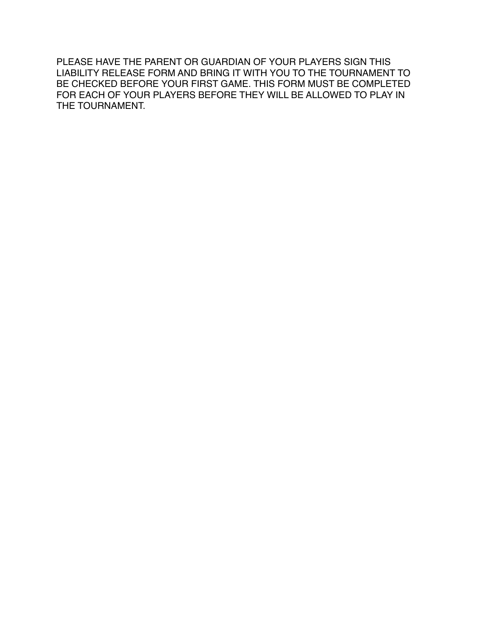PLEASE HAVE THE PARENT OR GUARDIAN OF YOUR PLAYERS SIGN THIS LIABILITY RELEASE FORM AND BRING IT WITH YOU TO THE TOURNAMENT TO BE CHECKED BEFORE YOUR FIRST GAME. THIS FORM MUST BE COMPLETED FOR EACH OF YOUR PLAYERS BEFORE THEY WILL BE ALLOWED TO PLAY IN THE TOURNAMENT.